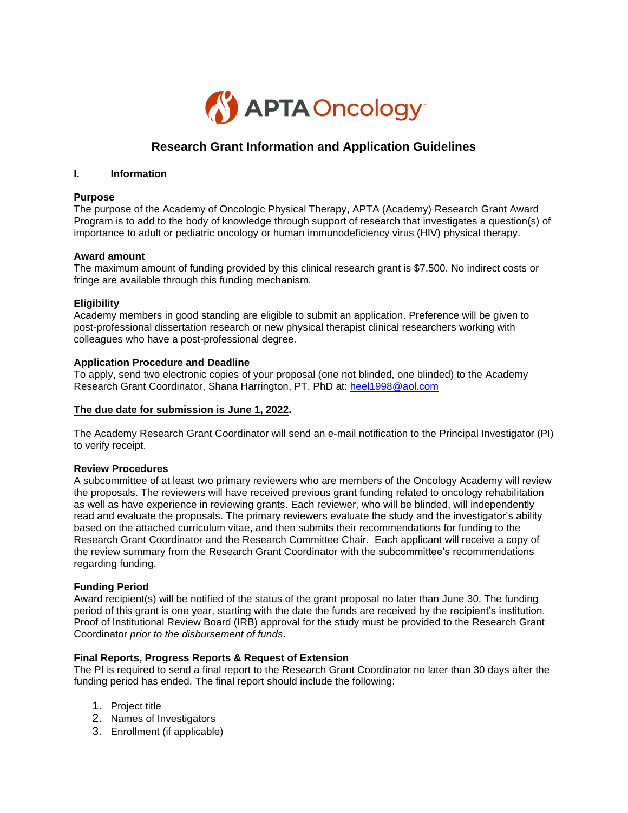

# **Research Grant Information and Application Guidelines**

#### **I. Information**

#### **Purpose**

The purpose of the Academy of Oncologic Physical Therapy, APTA (Academy) Research Grant Award Program is to add to the body of knowledge through support of research that investigates a question(s) of importance to adult or pediatric oncology or human immunodeficiency virus (HIV) physical therapy.

#### **Award amount**

The maximum amount of funding provided by this clinical research grant is \$7,500. No indirect costs or fringe are available through this funding mechanism.

#### **Eligibility**

Academy members in good standing are eligible to submit an application. Preference will be given to post-professional dissertation research or new physical therapist clinical researchers working with colleagues who have a post-professional degree.

#### **Application Procedure and Deadline**

To apply, send two electronic copies of your proposal (one not blinded, one blinded) to the Academy Research Grant Coordinator, Shana Harrington, PT, PhD at: [heel1998@aol.com](mailto:heel1998@aol.com)

#### **The due date for submission is June 1, 2022.**

The Academy Research Grant Coordinator will send an e-mail notification to the Principal Investigator (PI) to verify receipt.

#### **Review Procedures**

A subcommittee of at least two primary reviewers who are members of the Oncology Academy will review the proposals. The reviewers will have received previous grant funding related to oncology rehabilitation as well as have experience in reviewing grants. Each reviewer, who will be blinded, will independently read and evaluate the proposals. The primary reviewers evaluate the study and the investigator's ability based on the attached curriculum vitae, and then submits their recommendations for funding to the Research Grant Coordinator and the Research Committee Chair. Each applicant will receive a copy of the review summary from the Research Grant Coordinator with the subcommittee's recommendations regarding funding.

#### **Funding Period**

Award recipient(s) will be notified of the status of the grant proposal no later than June 30. The funding period of this grant is one year, starting with the date the funds are received by the recipient's institution. Proof of Institutional Review Board (IRB) approval for the study must be provided to the Research Grant Coordinator *prior to the disbursement of funds*.

#### **Final Reports, Progress Reports & Request of Extension**

The PI is required to send a final report to the Research Grant Coordinator no later than 30 days after the funding period has ended. The final report should include the following:

- 1. Project title
- 2. Names of Investigators
- 3. Enrollment (if applicable)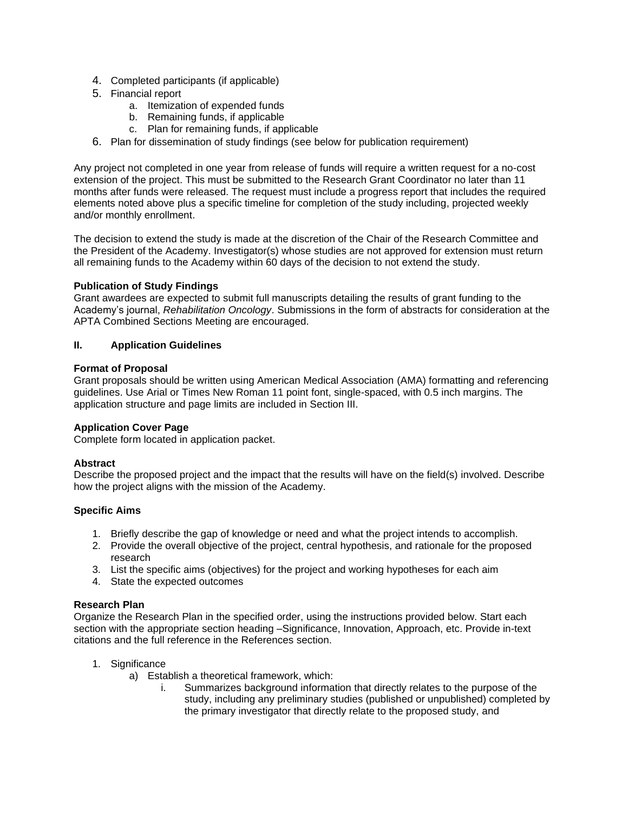- 4. Completed participants (if applicable)
- 5. Financial report
	- a. Itemization of expended funds
	- b. Remaining funds, if applicable
	- c. Plan for remaining funds, if applicable
- 6. Plan for dissemination of study findings (see below for publication requirement)

Any project not completed in one year from release of funds will require a written request for a no-cost extension of the project. This must be submitted to the Research Grant Coordinator no later than 11 months after funds were released. The request must include a progress report that includes the required elements noted above plus a specific timeline for completion of the study including, projected weekly and/or monthly enrollment.

The decision to extend the study is made at the discretion of the Chair of the Research Committee and the President of the Academy. Investigator(s) whose studies are not approved for extension must return all remaining funds to the Academy within 60 days of the decision to not extend the study.

#### **Publication of Study Findings**

Grant awardees are expected to submit full manuscripts detailing the results of grant funding to the Academy's journal, *Rehabilitation Oncology*. Submissions in the form of abstracts for consideration at the APTA Combined Sections Meeting are encouraged.

#### **II. Application Guidelines**

#### **Format of Proposal**

Grant proposals should be written using American Medical Association (AMA) formatting and referencing guidelines. Use Arial or Times New Roman 11 point font, single-spaced, with 0.5 inch margins. The application structure and page limits are included in Section III.

#### **Application Cover Page**

Complete form located in application packet.

#### **Abstract**

Describe the proposed project and the impact that the results will have on the field(s) involved. Describe how the project aligns with the mission of the Academy.

#### **Specific Aims**

- 1. Briefly describe the gap of knowledge or need and what the project intends to accomplish.
- 2. Provide the overall objective of the project, central hypothesis, and rationale for the proposed research
- 3. List the specific aims (objectives) for the project and working hypotheses for each aim
- 4. State the expected outcomes

#### **Research Plan**

Organize the Research Plan in the specified order, using the instructions provided below. Start each section with the appropriate section heading –Significance, Innovation, Approach, etc. Provide in-text citations and the full reference in the References section.

- 1. Significance
	- a) Establish a theoretical framework, which:
		- i. Summarizes background information that directly relates to the purpose of the study, including any preliminary studies (published or unpublished) completed by the primary investigator that directly relate to the proposed study, and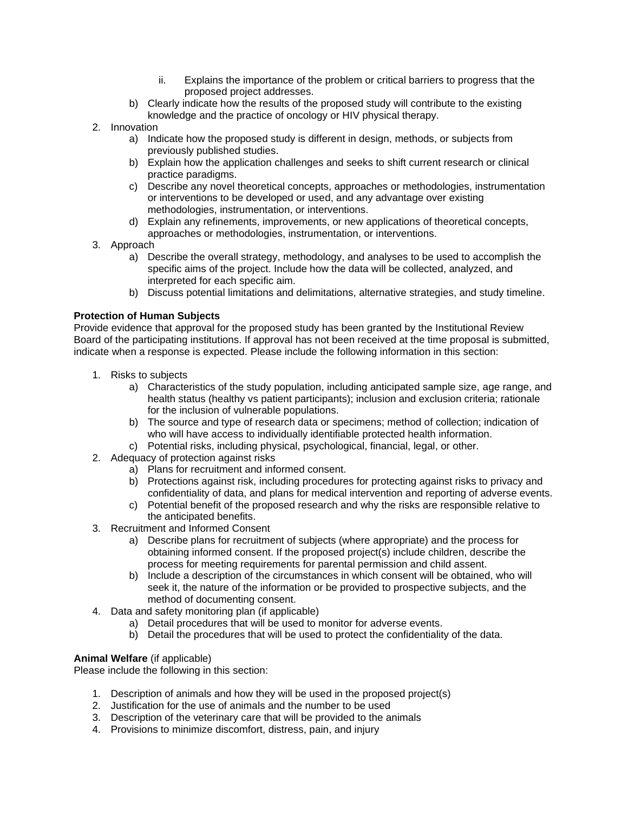- ii. Explains the importance of the problem or critical barriers to progress that the proposed project addresses.
- b) Clearly indicate how the results of the proposed study will contribute to the existing knowledge and the practice of oncology or HIV physical therapy.
- 2. Innovation
	- a) Indicate how the proposed study is different in design, methods, or subjects from previously published studies.
	- b) Explain how the application challenges and seeks to shift current research or clinical practice paradigms.
	- c) Describe any novel theoretical concepts, approaches or methodologies, instrumentation or interventions to be developed or used, and any advantage over existing methodologies, instrumentation, or interventions.
	- d) Explain any refinements, improvements, or new applications of theoretical concepts, approaches or methodologies, instrumentation, or interventions.
- 3. Approach
	- a) Describe the overall strategy, methodology, and analyses to be used to accomplish the specific aims of the project. Include how the data will be collected, analyzed, and interpreted for each specific aim.
	- b) Discuss potential limitations and delimitations, alternative strategies, and study timeline.

## **Protection of Human Subjects**

Provide evidence that approval for the proposed study has been granted by the Institutional Review Board of the participating institutions. If approval has not been received at the time proposal is submitted, indicate when a response is expected. Please include the following information in this section:

- 1. Risks to subjects
	- a) Characteristics of the study population, including anticipated sample size, age range, and health status (healthy vs patient participants); inclusion and exclusion criteria; rationale for the inclusion of vulnerable populations.
	- b) The source and type of research data or specimens; method of collection; indication of who will have access to individually identifiable protected health information.
	- c) Potential risks, including physical, psychological, financial, legal, or other.
- 2. Adequacy of protection against risks
	- a) Plans for recruitment and informed consent.
	- b) Protections against risk, including procedures for protecting against risks to privacy and confidentiality of data, and plans for medical intervention and reporting of adverse events.
	- c) Potential benefit of the proposed research and why the risks are responsible relative to the anticipated benefits.
- 3. Recruitment and Informed Consent
	- a) Describe plans for recruitment of subjects (where appropriate) and the process for obtaining informed consent. If the proposed project(s) include children, describe the process for meeting requirements for parental permission and child assent.
	- b) Include a description of the circumstances in which consent will be obtained, who will seek it, the nature of the information or be provided to prospective subjects, and the method of documenting consent.
- 4. Data and safety monitoring plan (if applicable)
	- a) Detail procedures that will be used to monitor for adverse events.
	- b) Detail the procedures that will be used to protect the confidentiality of the data.

## **Animal Welfare** (if applicable)

Please include the following in this section:

- 1. Description of animals and how they will be used in the proposed project(s)
- 2. Justification for the use of animals and the number to be used
- 3. Description of the veterinary care that will be provided to the animals
- 4. Provisions to minimize discomfort, distress, pain, and injury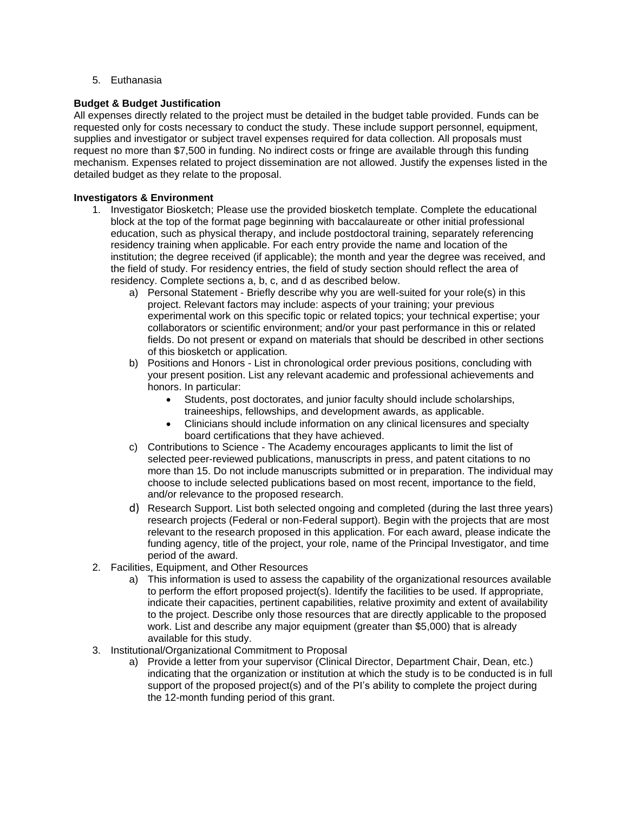5. Euthanasia

## **Budget & Budget Justification**

All expenses directly related to the project must be detailed in the budget table provided. Funds can be requested only for costs necessary to conduct the study. These include support personnel, equipment, supplies and investigator or subject travel expenses required for data collection. All proposals must request no more than \$7,500 in funding. No indirect costs or fringe are available through this funding mechanism. Expenses related to project dissemination are not allowed. Justify the expenses listed in the detailed budget as they relate to the proposal.

### **Investigators & Environment**

- 1. Investigator Biosketch; Please use the provided biosketch template. Complete the educational block at the top of the format page beginning with baccalaureate or other initial professional education, such as physical therapy, and include postdoctoral training, separately referencing residency training when applicable. For each entry provide the name and location of the institution; the degree received (if applicable); the month and year the degree was received, and the field of study. For residency entries, the field of study section should reflect the area of residency. Complete sections a, b, c, and d as described below.
	- a) Personal Statement Briefly describe why you are well-suited for your role(s) in this project. Relevant factors may include: aspects of your training; your previous experimental work on this specific topic or related topics; your technical expertise; your collaborators or scientific environment; and/or your past performance in this or related fields. Do not present or expand on materials that should be described in other sections of this biosketch or application.
	- b) Positions and Honors List in chronological order previous positions, concluding with your present position. List any relevant academic and professional achievements and honors. In particular:
		- Students, post doctorates, and junior faculty should include scholarships, traineeships, fellowships, and development awards, as applicable.
		- Clinicians should include information on any clinical licensures and specialty board certifications that they have achieved.
	- c) Contributions to Science The Academy encourages applicants to limit the list of selected peer-reviewed publications, manuscripts in press, and patent citations to no more than 15. Do not include manuscripts submitted or in preparation. The individual may choose to include selected publications based on most recent, importance to the field, and/or relevance to the proposed research.
	- d) Research Support. List both selected ongoing and completed (during the last three years) research projects (Federal or non-Federal support). Begin with the projects that are most relevant to the research proposed in this application. For each award, please indicate the funding agency, title of the project, your role, name of the Principal Investigator, and time period of the award.
- 2. Facilities, Equipment, and Other Resources
	- a) This information is used to assess the capability of the organizational resources available to perform the effort proposed project(s). Identify the facilities to be used. If appropriate, indicate their capacities, pertinent capabilities, relative proximity and extent of availability to the project. Describe only those resources that are directly applicable to the proposed work. List and describe any major equipment (greater than \$5,000) that is already available for this study.
- 3. Institutional/Organizational Commitment to Proposal
	- a) Provide a letter from your supervisor (Clinical Director, Department Chair, Dean, etc.) indicating that the organization or institution at which the study is to be conducted is in full support of the proposed project(s) and of the PI's ability to complete the project during the 12-month funding period of this grant.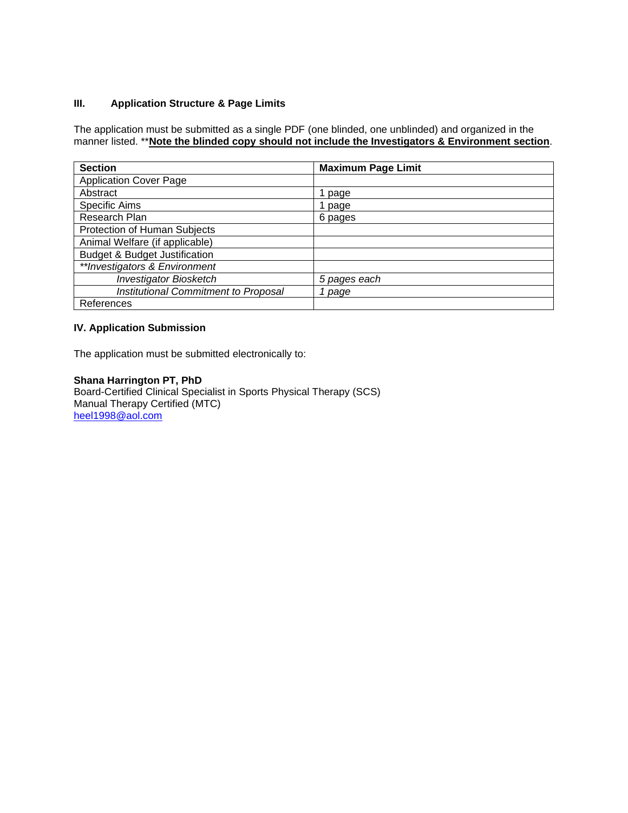## **III. Application Structure & Page Limits**

The application must be submitted as a single PDF (one blinded, one unblinded) and organized in the manner listed. \*\***Note the blinded copy should not include the Investigators & Environment section**.

| <b>Section</b>                           | <b>Maximum Page Limit</b> |
|------------------------------------------|---------------------------|
| <b>Application Cover Page</b>            |                           |
| Abstract                                 | page                      |
| <b>Specific Aims</b>                     | page                      |
| Research Plan                            | 6 pages                   |
| Protection of Human Subjects             |                           |
| Animal Welfare (if applicable)           |                           |
| <b>Budget &amp; Budget Justification</b> |                           |
| **Investigators & Environment            |                           |
| <b>Investigator Biosketch</b>            | 5 pages each              |
| Institutional Commitment to Proposal     | 1 page                    |
| References                               |                           |

## **IV. Application Submission**

The application must be submitted electronically to:

## **Shana Harrington PT, PhD**

Board-Certified Clinical Specialist in Sports Physical Therapy (SCS) Manual Therapy Certified (MTC) [heel1998@aol.com](mailto:heel1998@aol.com)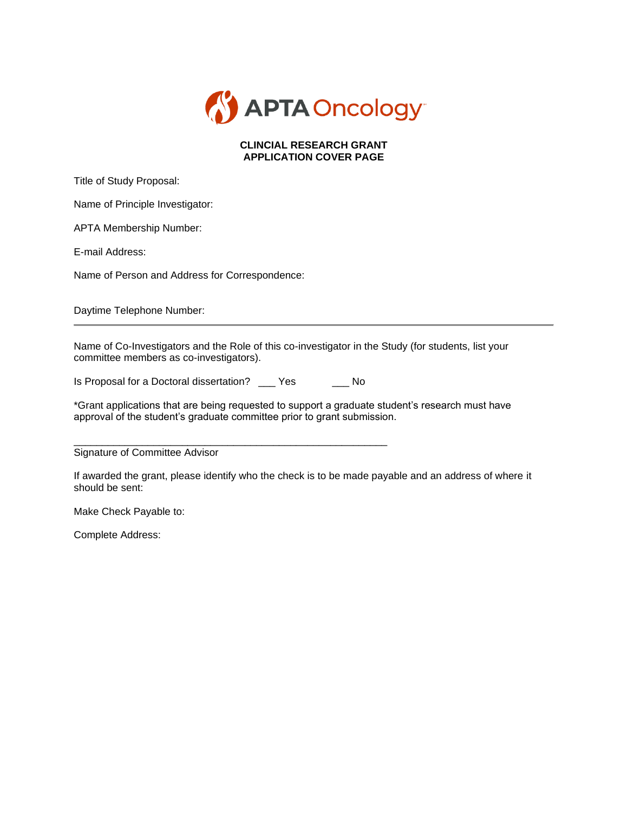

## **CLINCIAL RESEARCH GRANT APPLICATION COVER PAGE**

Title of Study Proposal:

Name of Principle Investigator:

APTA Membership Number:

E-mail Address:

Name of Person and Address for Correspondence:

Daytime Telephone Number:

Name of Co-Investigators and the Role of this co-investigator in the Study (for students, list your committee members as co-investigators).

Is Proposal for a Doctoral dissertation? \_\_\_ Yes \_\_\_ No

\*Grant applications that are being requested to support a graduate student's research must have approval of the student's graduate committee prior to grant submission.

\_\_\_\_\_\_\_\_\_\_\_\_\_\_\_\_\_\_\_\_\_\_\_\_\_\_\_\_\_\_\_\_\_\_\_\_\_\_\_\_\_\_\_\_\_\_\_\_\_\_\_\_\_\_\_ Signature of Committee Advisor

If awarded the grant, please identify who the check is to be made payable and an address of where it should be sent:

Make Check Payable to:

Complete Address: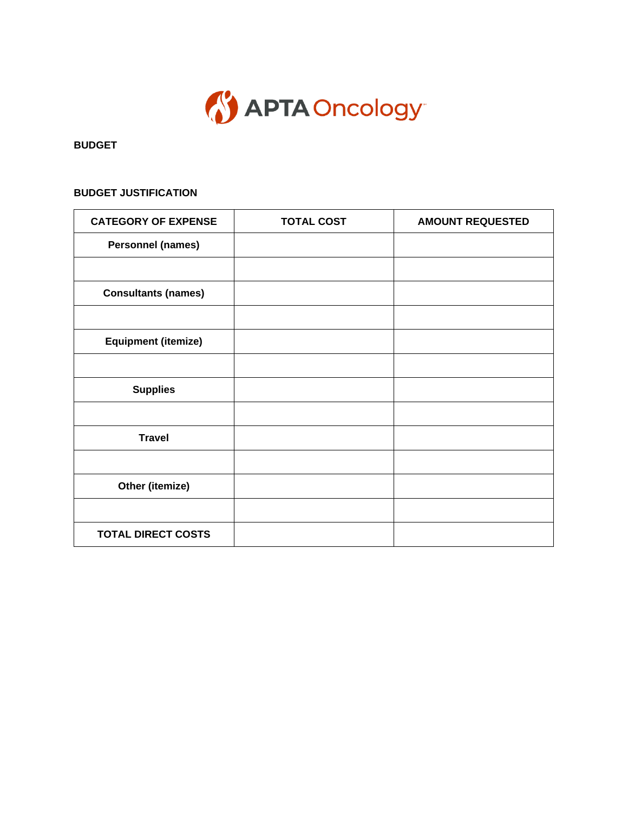

**BUDGET**

# **BUDGET JUSTIFICATION**

| <b>CATEGORY OF EXPENSE</b> | <b>TOTAL COST</b> | <b>AMOUNT REQUESTED</b> |
|----------------------------|-------------------|-------------------------|
| <b>Personnel (names)</b>   |                   |                         |
|                            |                   |                         |
| <b>Consultants (names)</b> |                   |                         |
|                            |                   |                         |
| <b>Equipment (itemize)</b> |                   |                         |
|                            |                   |                         |
| <b>Supplies</b>            |                   |                         |
|                            |                   |                         |
| <b>Travel</b>              |                   |                         |
|                            |                   |                         |
| Other (itemize)            |                   |                         |
|                            |                   |                         |
| <b>TOTAL DIRECT COSTS</b>  |                   |                         |